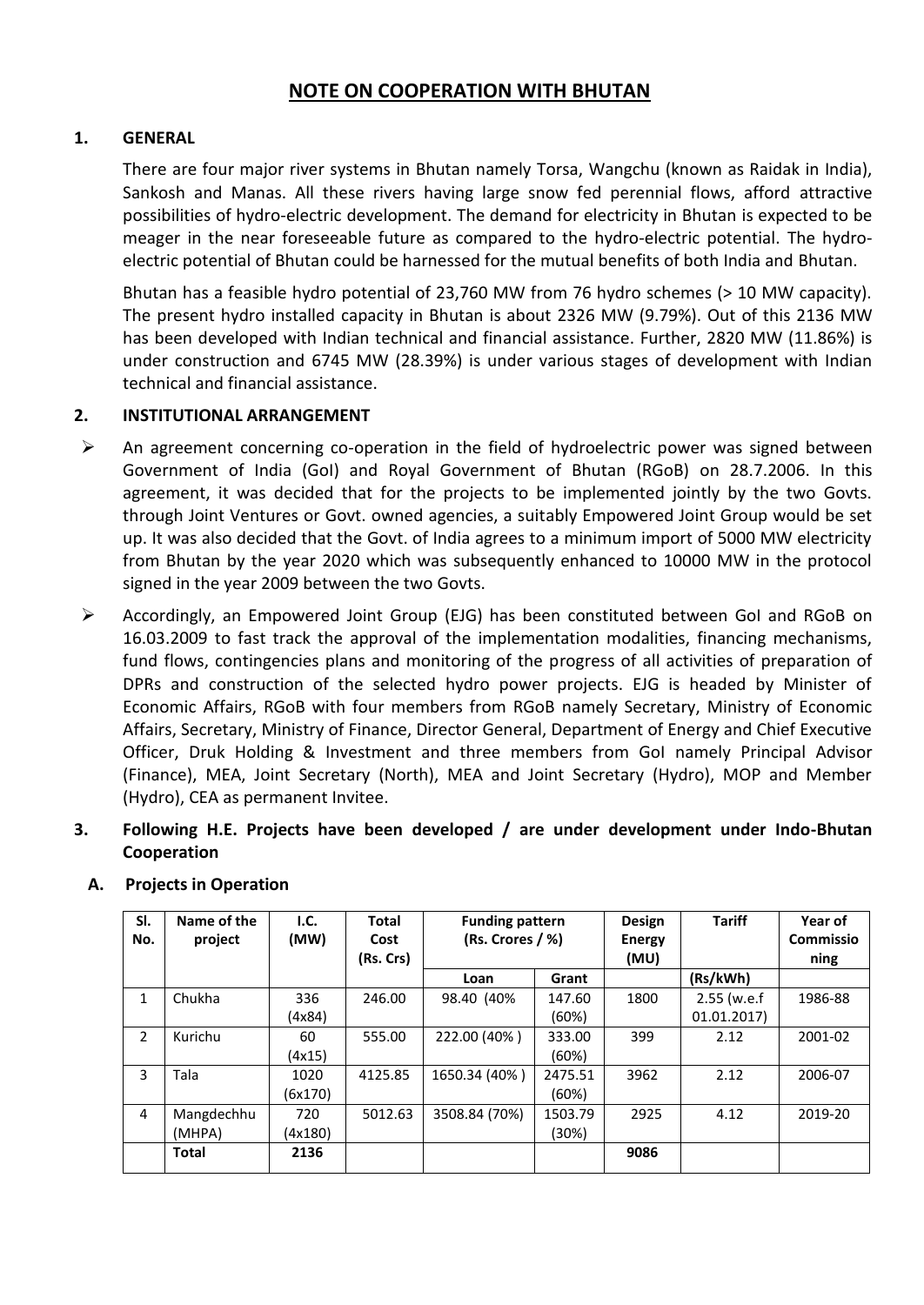## **NOTE ON COOPERATION WITH BHUTAN**

#### **1. GENERAL**

There are four major river systems in Bhutan namely Torsa, Wangchu (known as Raidak in India), Sankosh and Manas. All these rivers having large snow fed perennial flows, afford attractive possibilities of hydro-electric development. The demand for electricity in Bhutan is expected to be meager in the near foreseeable future as compared to the hydro-electric potential. The hydroelectric potential of Bhutan could be harnessed for the mutual benefits of both India and Bhutan.

Bhutan has a feasible hydro potential of 23,760 MW from 76 hydro schemes (> 10 MW capacity). The present hydro installed capacity in Bhutan is about 2326 MW (9.79%). Out of this 2136 MW has been developed with Indian technical and financial assistance. Further, 2820 MW (11.86%) is under construction and 6745 MW (28.39%) is under various stages of development with Indian technical and financial assistance.

#### **2. INSTITUTIONAL ARRANGEMENT**

- $\triangleright$  An agreement concerning co-operation in the field of hydroelectric power was signed between Government of India (GoI) and Royal Government of Bhutan (RGoB) on 28.7.2006. In this agreement, it was decided that for the projects to be implemented jointly by the two Govts. through Joint Ventures or Govt. owned agencies, a suitably Empowered Joint Group would be set up. It was also decided that the Govt. of India agrees to a minimum import of 5000 MW electricity from Bhutan by the year 2020 which was subsequently enhanced to 10000 MW in the protocol signed in the year 2009 between the two Govts.
- Accordingly, an Empowered Joint Group (EJG) has been constituted between GoI and RGoB on 16.03.2009 to fast track the approval of the implementation modalities, financing mechanisms, fund flows, contingencies plans and monitoring of the progress of all activities of preparation of DPRs and construction of the selected hydro power projects. EJG is headed by Minister of Economic Affairs, RGoB with four members from RGoB namely Secretary, Ministry of Economic Affairs, Secretary, Ministry of Finance, Director General, Department of Energy and Chief Executive Officer, Druk Holding & Investment and three members from GoI namely Principal Advisor (Finance), MEA, Joint Secretary (North), MEA and Joint Secretary (Hydro), MOP and Member (Hydro), CEA as permanent Invitee.
- **3. Following H.E. Projects have been developed / are under development under Indo-Bhutan Cooperation**

| SI.<br>No. | Name of the<br>project | I.C.<br>(MW) | <b>Total</b><br>Cost<br>(Rs. Crs) | <b>Funding pattern</b><br>(Rs. Crores / %) |         | Design<br><b>Energy</b><br>(MU) | <b>Tariff</b> | Year of<br><b>Commissio</b><br>ning |
|------------|------------------------|--------------|-----------------------------------|--------------------------------------------|---------|---------------------------------|---------------|-------------------------------------|
|            |                        |              |                                   | Loan                                       | Grant   |                                 | (Rs/kWh)      |                                     |
| 1          | Chukha                 | 336          | 246.00                            | 98.40 (40%)                                | 147.60  | 1800                            | $2.55$ (w.e.f | 1986-88                             |
|            |                        | (4x84)       |                                   |                                            | (60%)   |                                 | 01.01.2017    |                                     |
| 2          | Kurichu                | 60           | 555.00                            | 222.00 (40%)                               | 333.00  | 399                             | 2.12          | 2001-02                             |
|            |                        | (4x15)       |                                   |                                            | (60%)   |                                 |               |                                     |
| 3          | Tala                   | 1020         | 4125.85                           | 1650.34 (40%)                              | 2475.51 | 3962                            | 2.12          | 2006-07                             |
|            |                        | (6x170)      |                                   |                                            | (60%)   |                                 |               |                                     |
| 4          | Mangdechhu             | 720          | 5012.63                           | 3508.84 (70%)                              | 1503.79 | 2925                            | 4.12          | 2019-20                             |
|            | (MHPA)                 | (4x180)      |                                   |                                            | (30%)   |                                 |               |                                     |
|            | <b>Total</b>           | 2136         |                                   |                                            |         | 9086                            |               |                                     |

#### **A. Projects in Operation**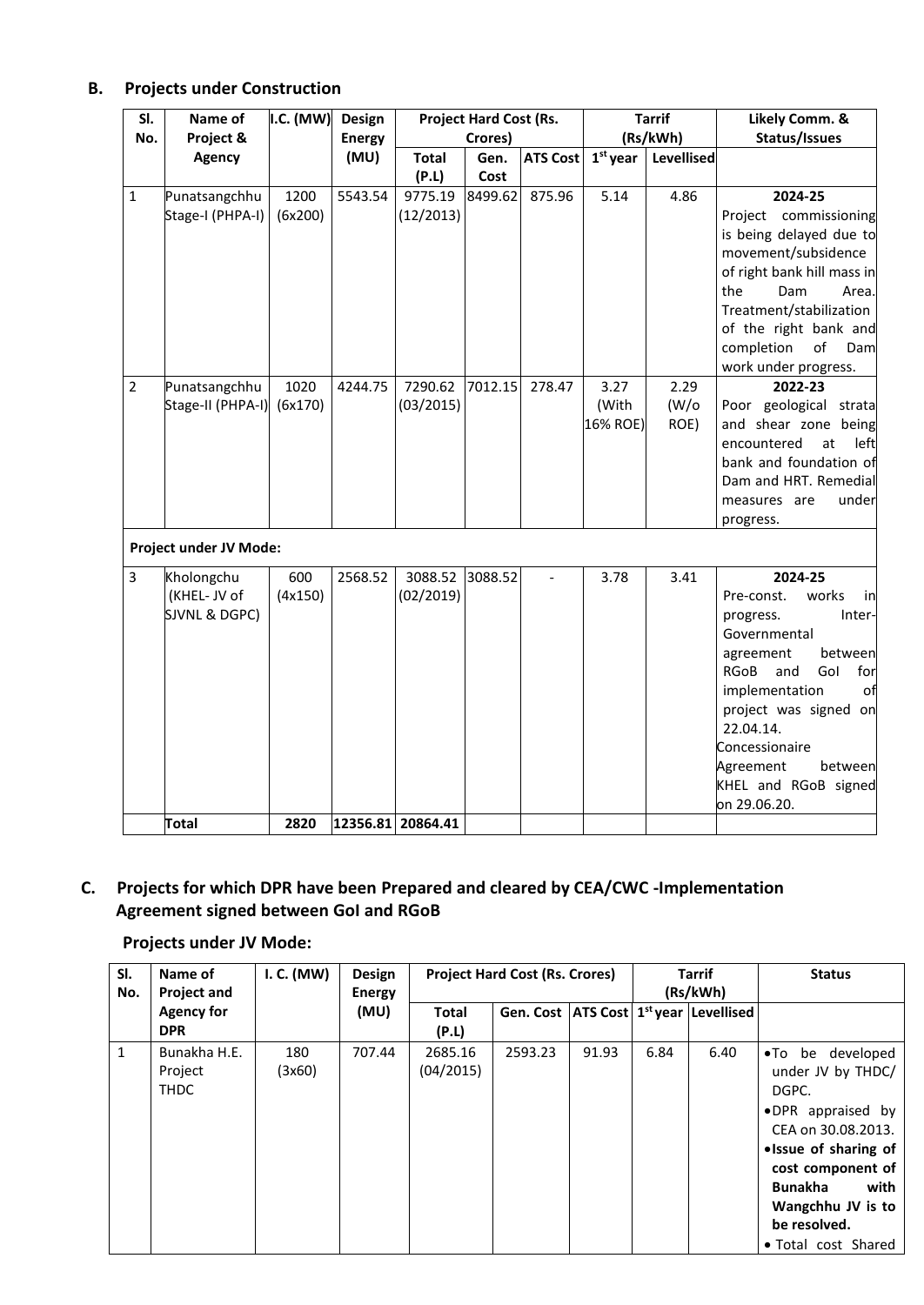### **B. Projects under Construction**

| SI.            | Name of                | I.C. (MW) | Design        | <b>Project Hard Cost (Rs.</b> |         |                          | <b>Tarrif</b> | Likely Comm. &    |                                  |
|----------------|------------------------|-----------|---------------|-------------------------------|---------|--------------------------|---------------|-------------------|----------------------------------|
| No.            | Project &              |           | <b>Energy</b> |                               | Crores) |                          |               | (Rs/kWh)          | Status/Issues                    |
|                | <b>Agency</b>          |           | (MU)          | <b>Total</b>                  | Gen.    | <b>ATS Cost</b>          | $1st$ year    | <b>Levellised</b> |                                  |
|                |                        |           |               | (P.L)                         | Cost    |                          |               |                   |                                  |
| 1              | Punatsangchhu          | 1200      | 5543.54       | 9775.19                       | 8499.62 | 875.96                   | 5.14          | 4.86              | 2024-25                          |
|                | Stage-I (PHPA-I)       | (6x200)   |               | (12/2013)                     |         |                          |               |                   | Project commissioning            |
|                |                        |           |               |                               |         |                          |               |                   | is being delayed due to          |
|                |                        |           |               |                               |         |                          |               |                   | movement/subsidence              |
|                |                        |           |               |                               |         |                          |               |                   | of right bank hill mass in       |
|                |                        |           |               |                               |         |                          |               |                   | the<br>Dam<br>Area.              |
|                |                        |           |               |                               |         |                          |               |                   | Treatment/stabilization          |
|                |                        |           |               |                               |         |                          |               |                   | of the right bank and            |
|                |                        |           |               |                               |         |                          |               |                   | completion<br>of<br>Dam          |
|                |                        |           |               |                               |         |                          |               |                   | work under progress.             |
| $\overline{2}$ | Punatsangchhu          | 1020      | 4244.75       | 7290.62                       | 7012.15 | 278.47                   | 3.27          | 2.29              | 2022-23                          |
|                | Stage-II (PHPA-I)      | (6x170)   |               | (03/2015)                     |         |                          | (With         | (W/O)             | Poor geological strata           |
|                |                        |           |               |                               |         |                          | 16% ROE)      | ROE)              | and shear zone being             |
|                |                        |           |               |                               |         |                          |               |                   | encountered<br>at<br>left        |
|                |                        |           |               |                               |         |                          |               |                   | bank and foundation of           |
|                |                        |           |               |                               |         |                          |               |                   | Dam and HRT. Remedial            |
|                |                        |           |               |                               |         |                          |               |                   | measures are<br>under            |
|                |                        |           |               |                               |         |                          |               |                   | progress.                        |
|                | Project under JV Mode: |           |               |                               |         |                          |               |                   |                                  |
| 3              | Kholongchu             | 600       | 2568.52       | 3088.52                       | 3088.52 | $\overline{\phantom{a}}$ | 3.78          | 3.41              | 2024-25                          |
|                | (KHEL-JV of            | (4x150)   |               | (02/2019)                     |         |                          |               |                   | works<br>Pre-const.<br>in        |
|                | SJVNL & DGPC)          |           |               |                               |         |                          |               |                   | progress.<br>Inter-              |
|                |                        |           |               |                               |         |                          |               |                   | Governmental                     |
|                |                        |           |               |                               |         |                          |               |                   | between<br>agreement             |
|                |                        |           |               |                               |         |                          |               |                   | Gol<br><b>RGoB</b><br>and<br>for |
|                |                        |           |               |                               |         |                          |               |                   | implementation<br>of             |
|                |                        |           |               |                               |         |                          |               |                   | project was signed on            |
|                |                        |           |               |                               |         |                          |               |                   | 22.04.14.                        |
|                |                        |           |               |                               |         |                          |               |                   | Concessionaire                   |
|                |                        |           |               |                               |         |                          |               |                   | Agreement<br>between             |
|                |                        |           |               |                               |         |                          |               |                   | KHEL and RGoB signed             |
|                |                        |           |               |                               |         |                          |               |                   | on 29.06.20.                     |
|                | <b>Total</b>           | 2820      |               | 12356.81 20864.41             |         |                          |               |                   |                                  |

# **C. Projects for which DPR have been Prepared and cleared by CEA/CWC -Implementation Agreement signed between GoI and RGoB**

#### **Projects under JV Mode:**

| SI.<br>No.   | Name of<br><b>Project and</b>          | I. C. (MW)    | Design<br><b>Energy</b> |                       | <b>Project Hard Cost (Rs. Crores)</b> |       |      | <b>Tarrif</b><br>(Rs/kWh)                                | <b>Status</b>                                                                                                                                                                                                                 |
|--------------|----------------------------------------|---------------|-------------------------|-----------------------|---------------------------------------|-------|------|----------------------------------------------------------|-------------------------------------------------------------------------------------------------------------------------------------------------------------------------------------------------------------------------------|
|              | <b>Agency for</b><br><b>DPR</b>        |               | (MU)                    | <b>Total</b><br>(P.L) |                                       |       |      | Gen. Cost   ATS Cost   1 <sup>st</sup> year   Levellised |                                                                                                                                                                                                                               |
| $\mathbf{1}$ | Bunakha H.E.<br>Project<br><b>THDC</b> | 180<br>(3x60) | 707.44                  | 2685.16<br>(04/2015)  | 2593.23                               | 91.93 | 6.84 | 6.40                                                     | •To be developed<br>under JV by THDC/<br>DGPC.<br>.DPR appraised by<br>CEA on 30.08.2013.<br>• Issue of sharing of<br>cost component of<br><b>Bunakha</b><br>with<br>Wangchhu JV is to<br>be resolved.<br>• Total cost Shared |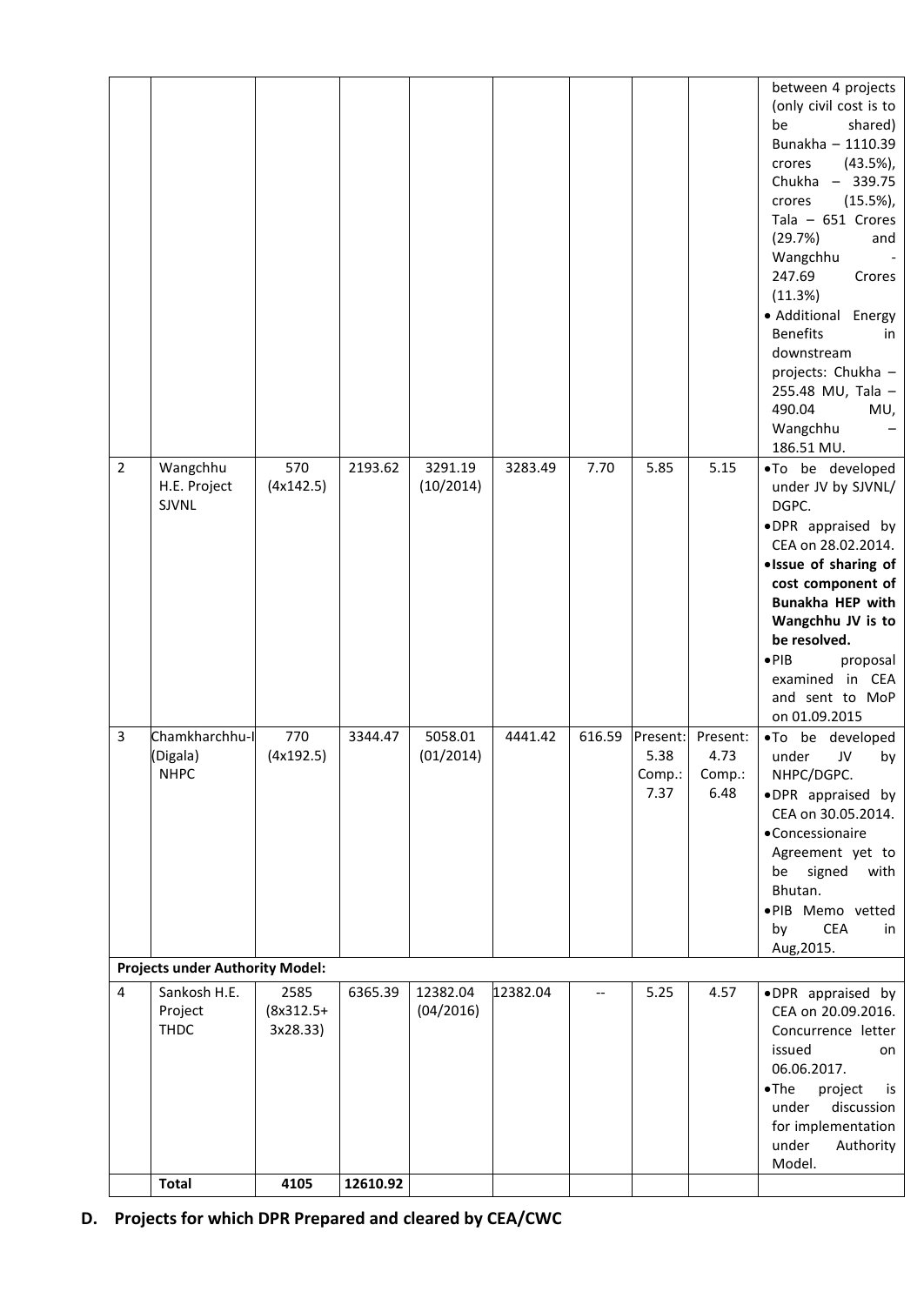|                         |                                           |                                 |          |                       |          |        |                                    |                                    | between 4 projects<br>(only civil cost is to<br>be<br>shared)<br>Bunakha - 1110.39<br>crores<br>$(43.5\%)$ ,<br>Chukha - 339.75<br>$(15.5\%)$ ,<br>crores<br>Tala $-651$ Crores<br>(29.7%)<br>and<br>Wangchhu<br>247.69<br>Crores<br>(11.3%)<br>· Additional Energy<br><b>Benefits</b><br>in<br>downstream<br>projects: Chukha -<br>255.48 MU, Tala -<br>490.04<br>MU,<br>Wangchhu<br>186.51 MU. |
|-------------------------|-------------------------------------------|---------------------------------|----------|-----------------------|----------|--------|------------------------------------|------------------------------------|--------------------------------------------------------------------------------------------------------------------------------------------------------------------------------------------------------------------------------------------------------------------------------------------------------------------------------------------------------------------------------------------------|
| $\overline{2}$          | Wangchhu<br>H.E. Project<br>SJVNL         | 570<br>(4x142.5)                | 2193.62  | 3291.19<br>(10/2014)  | 3283.49  | 7.70   | 5.85                               | 5.15                               | .To be developed<br>under JV by SJVNL/<br>DGPC.<br>.DPR appraised by<br>CEA on 28.02.2014.<br>· Issue of sharing of<br>cost component of<br>Bunakha HEP with<br>Wangchhu JV is to<br>be resolved.<br>$\bullet$ PIB<br>proposal<br>examined in CEA<br>and sent to MoP<br>on 01.09.2015                                                                                                            |
| 3                       | Chamkharchhu-I<br>(Digala)<br><b>NHPC</b> | 770<br>(4x192.5)                | 3344.47  | 5058.01<br>(01/2014)  | 4441.42  | 616.59 | Present:<br>5.38<br>Comp.:<br>7.37 | Present:<br>4.73<br>Comp.:<br>6.48 | .To be developed<br>under<br>JV<br>by<br>NHPC/DGPC.<br>.DPR appraised by<br>CEA on 30.05.2014.<br>· Concessionaire<br>Agreement yet to<br>be<br>signed<br>with<br>Bhutan.<br>.PIB Memo vetted<br><b>CEA</b><br>by<br>in<br>Aug, 2015.                                                                                                                                                            |
|                         | <b>Projects under Authority Model:</b>    |                                 |          |                       |          |        |                                    |                                    |                                                                                                                                                                                                                                                                                                                                                                                                  |
| $\overline{\mathbf{4}}$ | Sankosh H.E.<br>Project<br><b>THDC</b>    | 2585<br>$(8x312.5+$<br>3x28.33) | 6365.39  | 12382.04<br>(04/2016) | 12382.04 | --     | 5.25                               | 4.57                               | .DPR appraised by<br>CEA on 20.09.2016.<br>Concurrence letter<br>issued<br>on<br>06.06.2017.<br>$\bullet$ The<br>project<br>is<br>under<br>discussion<br>for implementation<br>under<br>Authority<br>Model.                                                                                                                                                                                      |
|                         | <b>Total</b>                              | 4105                            | 12610.92 |                       |          |        |                                    |                                    |                                                                                                                                                                                                                                                                                                                                                                                                  |

**D. Projects for which DPR Prepared and cleared by CEA/CWC**